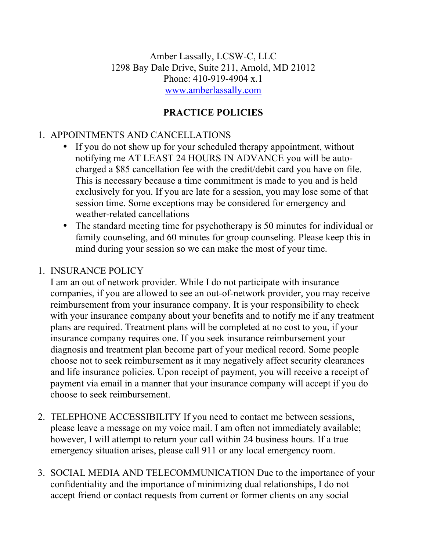Amber Lassally, LCSW-C, LLC 1298 Bay Dale Drive, Suite 211, Arnold, MD 21012 Phone: 410-919-4904 x.1 www.amberlassally.com

# **PRACTICE POLICIES**

# 1. APPOINTMENTS AND CANCELLATIONS

- If you do not show up for your scheduled therapy appointment, without notifying me AT LEAST 24 HOURS IN ADVANCE you will be autocharged a \$85 cancellation fee with the credit/debit card you have on file. This is necessary because a time commitment is made to you and is held exclusively for you. If you are late for a session, you may lose some of that session time. Some exceptions may be considered for emergency and weather-related cancellations
- The standard meeting time for psychotherapy is 50 minutes for individual or family counseling, and 60 minutes for group counseling. Please keep this in mind during your session so we can make the most of your time.

### 1. INSURANCE POLICY

I am an out of network provider. While I do not participate with insurance companies, if you are allowed to see an out-of-network provider, you may receive reimbursement from your insurance company. It is your responsibility to check with your insurance company about your benefits and to notify me if any treatment plans are required. Treatment plans will be completed at no cost to you, if your insurance company requires one. If you seek insurance reimbursement your diagnosis and treatment plan become part of your medical record. Some people choose not to seek reimbursement as it may negatively affect security clearances and life insurance policies. Upon receipt of payment, you will receive a receipt of payment via email in a manner that your insurance company will accept if you do choose to seek reimbursement.

- 2. TELEPHONE ACCESSIBILITY If you need to contact me between sessions, please leave a message on my voice mail. I am often not immediately available; however, I will attempt to return your call within 24 business hours. If a true emergency situation arises, please call 911 or any local emergency room.
- 3. SOCIAL MEDIA AND TELECOMMUNICATION Due to the importance of your confidentiality and the importance of minimizing dual relationships, I do not accept friend or contact requests from current or former clients on any social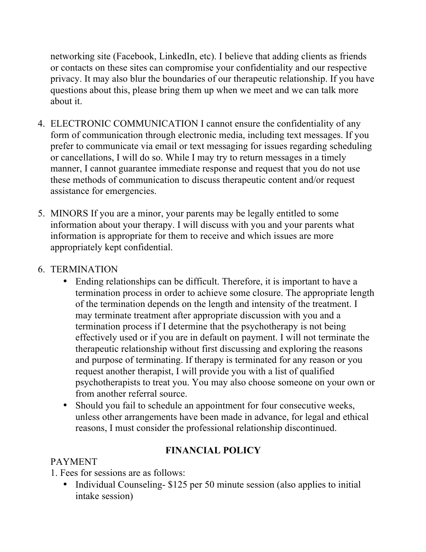networking site (Facebook, LinkedIn, etc). I believe that adding clients as friends or contacts on these sites can compromise your confidentiality and our respective privacy. It may also blur the boundaries of our therapeutic relationship. If you have questions about this, please bring them up when we meet and we can talk more about it.

- 4. ELECTRONIC COMMUNICATION I cannot ensure the confidentiality of any form of communication through electronic media, including text messages. If you prefer to communicate via email or text messaging for issues regarding scheduling or cancellations, I will do so. While I may try to return messages in a timely manner, I cannot guarantee immediate response and request that you do not use these methods of communication to discuss therapeutic content and/or request assistance for emergencies.
- 5. MINORS If you are a minor, your parents may be legally entitled to some information about your therapy. I will discuss with you and your parents what information is appropriate for them to receive and which issues are more appropriately kept confidential.

### 6. TERMINATION

- Ending relationships can be difficult. Therefore, it is important to have a termination process in order to achieve some closure. The appropriate length of the termination depends on the length and intensity of the treatment. I may terminate treatment after appropriate discussion with you and a termination process if I determine that the psychotherapy is not being effectively used or if you are in default on payment. I will not terminate the therapeutic relationship without first discussing and exploring the reasons and purpose of terminating. If therapy is terminated for any reason or you request another therapist, I will provide you with a list of qualified psychotherapists to treat you. You may also choose someone on your own or from another referral source.
- Should you fail to schedule an appointment for four consecutive weeks, unless other arrangements have been made in advance, for legal and ethical reasons, I must consider the professional relationship discontinued.

#### **FINANCIAL POLICY**

### PAYMENT

1. Fees for sessions are as follows:

• Individual Counseling- \$125 per 50 minute session (also applies to initial intake session)